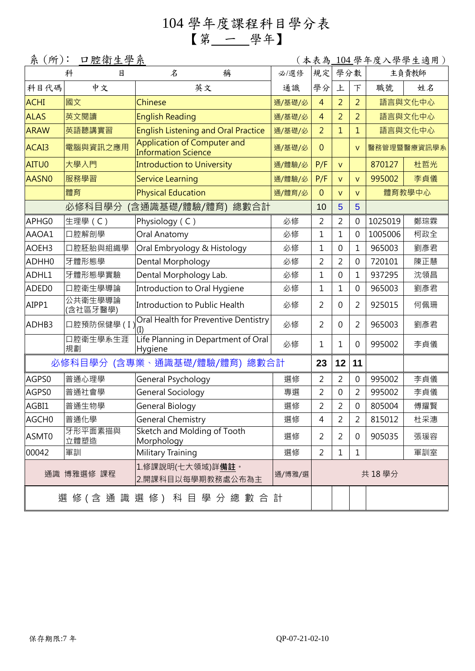## 104 學年度課程科目學分表 【第 一 學年】

| 系 (所):<br>口腔衛生學系<br>(本表為<br>104 學年度入學學生適用)                   |                              |                                                                  |        |                |                |                |         |             |  |  |
|--------------------------------------------------------------|------------------------------|------------------------------------------------------------------|--------|----------------|----------------|----------------|---------|-------------|--|--|
|                                                              | 科<br>目                       | 稱<br>名                                                           | 必/選修   | 規定             | 學分數            |                | 主負責教師   |             |  |  |
| 科目代碼                                                         | 中文                           | 英文                                                               | 通識     | 學分             | 上              | 下              | 職號      | 姓名          |  |  |
| <b>ACHI</b>                                                  | 國文                           | Chinese                                                          | 通/基礎/必 | $\overline{4}$ | $\overline{2}$ | $\overline{2}$ | 語言與文化中心 |             |  |  |
| <b>ALAS</b>                                                  | 英文閱讀                         | <b>English Reading</b>                                           | 通/基礎/必 | $\overline{4}$ | $\overline{2}$ | $\overline{2}$ |         | 語言與文化中心     |  |  |
| <b>ARAW</b>                                                  | 英語聽講實習                       | <b>English Listening and Oral Practice</b>                       | 通/基礎/必 | $\overline{2}$ | $\overline{1}$ | 1              |         | 語言與文化中心     |  |  |
| ACAI3                                                        | 電腦與資訊之應用                     | <b>Application of Computer and</b><br><b>Information Science</b> | 通/基礎/必 | $\overline{0}$ |                | $\mathsf{V}$   |         | 醫務管理暨醫療資訊學系 |  |  |
| AITU0                                                        | 大學入門                         | <b>Introduction to University</b>                                | 通/體驗/必 | P/F            | $\mathsf{V}$   |                | 870127  | 杜哲光         |  |  |
| AASN0                                                        | 服務學習                         | <b>Service Learning</b>                                          | 通/體驗/必 | P/F            | $\mathsf{V}$   | $\vee$         | 995002  | 李貞儀         |  |  |
|                                                              | 體育                           | <b>Physical Education</b>                                        | 通/體育/必 | $\overline{0}$ | $\mathsf{V}$   | $\mathsf{V}$   |         | 體育教學中心      |  |  |
|                                                              | 必修科目學分                       | (含通識基礎/體驗/體育) 總數合計                                               |        | 10             | 5              | 5              |         |             |  |  |
| APHG0                                                        | 生理學 (C)                      | Physiology (C)                                                   | 必修     | 2              | $\overline{2}$ | $\overline{0}$ | 1025019 | 鄭琮霖         |  |  |
| AAOA1                                                        | 口腔解剖學                        | Oral Anatomy                                                     | 必修     | $\mathbf{1}$   | 1              | 0              | 1005006 | 柯政全         |  |  |
| AOEH3                                                        | 口腔胚胎與組織學                     | Oral Embryology & Histology                                      | 必修     | $\mathbf{1}$   | $\mathbf 0$    | 1              | 965003  | 劉彥君         |  |  |
| ADHH0                                                        | 牙體形態學                        | Dental Morphology                                                | 必修     | 2              | 2              | 0              | 720101  | 陳正慧         |  |  |
| ADHL1                                                        | 牙體形態學實驗                      | Dental Morphology Lab.                                           | 必修     | $\mathbf 1$    | 0              | 1              | 937295  | 沈領昌         |  |  |
| ADED0                                                        | 口腔衛生學導論                      | Introduction to Oral Hygiene                                     | 必修     | $\mathbf{1}$   | 1              | 0              | 965003  | 劉彥君         |  |  |
| AIPP1                                                        | 公共衛生學導論<br>(含社區牙醫學)          | Introduction to Public Health                                    | 必修     | 2              | 0              | 2              | 925015  | 何佩珊         |  |  |
| ADHB3                                                        | 口腔預防保健學(I                    | Oral Health for Preventive Dentistry                             | 必修     | 2              | 0              | $\overline{2}$ | 965003  | 劉彥君         |  |  |
|                                                              | 口腔衛生學系生涯<br>規劃               | Life Planning in Department of Oral<br>Hygiene                   | 必修     | $\mathbf 1$    | 1              | 0              | 995002  | 李貞儀         |  |  |
|                                                              | 必修科目學分 (含專業、通識基礎/體驗/體育) 總數合計 |                                                                  |        | 23             | 12             | 11             |         |             |  |  |
| AGPS0                                                        | 普通心理學                        | General Psychology                                               | 選修     | $\overline{2}$ | $\overline{2}$ | $\mathbf 0$    | 995002  | 李貞儀         |  |  |
| AGPS0                                                        | 普通社會學                        | General Sociology                                                | 專選     | 2              | 0              | $\overline{2}$ | 995002  | 李貞儀         |  |  |
| AGBI1                                                        | 普通生物學                        | General Biology                                                  | 選修     | $\overline{2}$ | $\overline{2}$ | $\mathbf 0$    | 805004  | 傅耀賢         |  |  |
| AGCH0                                                        | 普通化學                         | General Chemistry                                                | 選修     | 4              | $\overline{2}$ | $\overline{2}$ | 815012  | 杜采潓         |  |  |
| ASMT0                                                        | 牙形平面素描與<br>立體塑造              | Sketch and Molding of Tooth<br>Morphology                        | 選修     | 2              | $\overline{2}$ | $\mathbf{0}$   | 905035  | 張瑗容         |  |  |
| 00042                                                        | 軍訓                           | Military Training                                                | 選修     | $\overline{2}$ | $\mathbf{1}$   | 1              |         | 軍訓室         |  |  |
| 1.修課說明(七大領域)詳 <b>備註</b> 。<br>通識 博雅選修 課程<br>2.開課科目以每學期教務處公布為主 |                              | 通/博雅/選                                                           |        | 共 18學分         |                |                |         |             |  |  |
|                                                              |                              | 選 修 ( 含 通 識 選 修 )  科 目 學 分 總 數 合 計                               |        |                |                |                |         |             |  |  |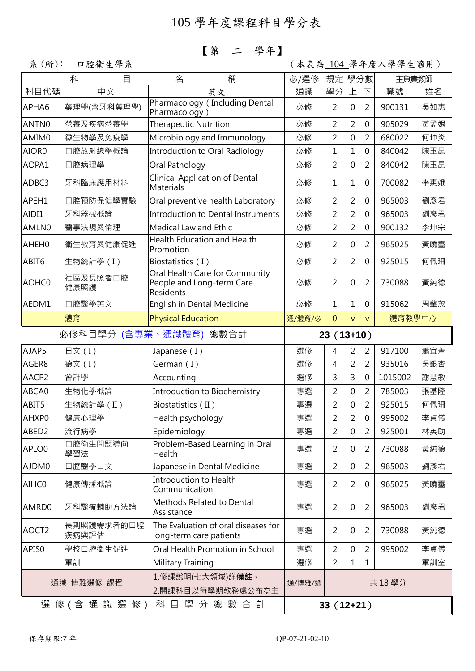### 【第 二 學年】

系(所): 口腔衛生學系 (本来為 104 學年度入學學生適用)

|                                                              | 科<br>目              | 稱<br>名                                                                   | 必/選修             | 規定<br>學分數      |                | 主負責教師          |         |     |
|--------------------------------------------------------------|---------------------|--------------------------------------------------------------------------|------------------|----------------|----------------|----------------|---------|-----|
| 科目代碼                                                         | 中文                  | 英文                                                                       | 通識               | 學分             |                | 下              | 職號      | 姓名  |
| APHA6                                                        | 藥理學(含牙科藥理學)         | Pharmacology (Including Dental<br>Pharmacology)                          | 必修               | 2              | $\mathbf 0$    | 2              | 900131  | 吳如惠 |
| ANTN0                                                        | 營養及疾病營養學            | <b>Therapeutic Nutrition</b>                                             | 必修               | $\overline{2}$ | $\overline{2}$ | 0              | 905029  | 黃孟娟 |
| AMIM0                                                        | 微生物學及免疫學            | Microbiology and Immunology                                              | 必修               | $\overline{2}$ | 0              | $\overline{2}$ | 680022  | 何坤炎 |
| AIOR0                                                        | 口腔放射線學概論            | Introduction to Oral Radiology                                           | 必修               | $\mathbf 1$    | 1              | 0              | 840042  | 陳玉昆 |
| AOPA1                                                        | 口腔病理學               | Oral Pathology                                                           | 必修               | $\overline{2}$ | 0              | $\overline{2}$ | 840042  | 陳玉昆 |
| ADBC3                                                        | 牙科臨床應用材料            | <b>Clinical Application of Dental</b><br><b>Materials</b>                | 必修               | $\mathbf 1$    | $\mathbf{1}$   | 0              | 700082  | 李惠娥 |
| APEH1                                                        | 口腔預防保健學實驗           | Oral preventive health Laboratory                                        | 必修               | $\overline{2}$ | $\overline{2}$ | 0              | 965003  | 劉彥君 |
| AIDI1                                                        | 牙科器械概論              | Introduction to Dental Instruments                                       | 必修               | $\overline{2}$ | $\overline{2}$ | 0              | 965003  | 劉彥君 |
| AMLN0                                                        | 醫事法規與倫理             | <b>Medical Law and Ethic</b>                                             | 必修               | 2              | $\overline{2}$ | 0              | 900132  | 李坤宗 |
| AHEH0                                                        | 衛生教育與健康促進           | <b>Health Education and Health</b><br>Promotion                          | 必修               | 2              | 0              | $\overline{2}$ | 965025  | 黃曉靈 |
| ABIT6                                                        | 生物統計學(I)            | Biostatistics (I)                                                        | 必修               | 2              | $\overline{2}$ | 0              | 925015  | 何佩珊 |
| AOHC0                                                        | 社區及長照者口腔<br>健康照護    | Oral Health Care for Community<br>People and Long-term Care<br>Residents | 必修               | $\overline{2}$ | 0              | 2              | 730088  | 黃純德 |
| AEDM1                                                        | 口腔醫學英文              | English in Dental Medicine                                               | 必修               | $\mathbf 1$    | 1              | 0              | 915062  | 周肇茂 |
|                                                              | 體育                  | <b>Physical Education</b>                                                | 通/體育/必           | $\mathbf{0}$   | $\vee$         | $\mathsf{V}$   | 體育教學中心  |     |
| 必修科目學分 (含專業、通識體育) 總數合計                                       |                     |                                                                          |                  | $23(13+10)$    |                |                |         |     |
| AJAP5                                                        | 日文(I)               | Japanese (I)                                                             | 選修               | 4              | $\overline{2}$ | 2              | 917100  | 蕭宜菁 |
| AGER8                                                        | 德文(I)               | German (I)                                                               | 選修               | 4              | $\overline{2}$ | $\overline{2}$ | 935016  | 吳銀杏 |
| AACP2                                                        | 會計學                 | Accounting                                                               | 選修               | 3              | 3              | 0              | 1015002 | 謝慧敏 |
| ABCA0                                                        | 生物化學概論              | Introduction to Biochemistry                                             | 專選               | $\overline{2}$ | 0              | $\overline{2}$ | 785003  | 張基隆 |
| ABIT5                                                        | 生物統計學(II)           | Biostatistics (II)                                                       | 專選               | 2              | 0              | 2              | 925015  | 何佩珊 |
| AHXP0                                                        | 健康心理學               | Health psychology                                                        | 專選               | $\overline{2}$ | $\overline{2}$ | 0              | 995002  | 李貞儀 |
| ABED <sub>2</sub>                                            | 流行病學                | Epidemiology                                                             | 專選               | $\overline{c}$ | 0              | 2              | 925001  | 林英助 |
| APLO0                                                        | 口腔衛生問題導向<br>學習法     | Problem-Based Learning in Oral<br>Health                                 | 專選               | $\overline{2}$ | 0              | $\overline{2}$ | 730088  | 黃純德 |
| AJDM0                                                        | 口腔醫學日文              | Japanese in Dental Medicine                                              | 專選               | $\overline{2}$ | 0              | 2              | 965003  | 劉彥君 |
| AIHC0                                                        | 健康傳播概論              | <b>Introduction to Health</b><br>Communication                           | 專選               | 2              | 2              | 0              | 965025  | 黃曉靈 |
| AMRD0                                                        | 牙科醫療輔助方法論           | Methods Related to Dental<br>Assistance                                  | 專選               | $\overline{2}$ | 0              | $\overline{2}$ | 965003  | 劉彥君 |
| AOCT <sub>2</sub>                                            | 長期照護需求者的口腔<br>疾病與評估 | The Evaluation of oral diseases for<br>long-term care patients           | 專選               | $\overline{2}$ | 0              | $\overline{2}$ | 730088  | 黃純德 |
| APIS0                                                        | 學校口腔衛生促進            | Oral Health Promotion in School                                          | 專選               | $\overline{2}$ | 0              | 2              | 995002  | 李貞儀 |
|                                                              | 軍訓                  | Military Training                                                        | 選修               | 2              | 1              | 1              |         | 軍訓室 |
| 1.修課說明(七大領域)詳 <b>備註</b> 。<br>通識 博雅選修 課程<br>2.開課科目以每學期教務處公布為主 |                     |                                                                          | 共 18學分<br>通/博雅/選 |                |                |                |         |     |
| 選 修 ( 含 通 識 選 修 )<br>科 目 學 分 總 數 合 計                         |                     |                                                                          |                  | $33(12+21)$    |                |                |         |     |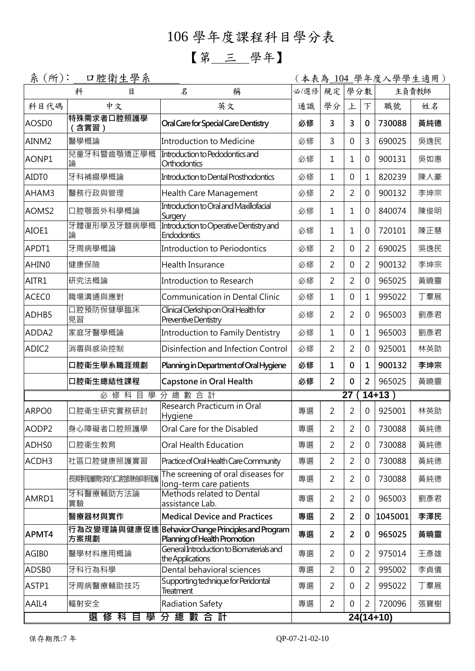# 106 學年度課程科目學分表

## 【第 三 學年】

| 系<br>$(\text{m})$ : | 口腔衛生學系             |                                                                                   |             |                |                |                | (本表為 <u> 104</u> 學年度入學學生適用) |       |
|---------------------|--------------------|-----------------------------------------------------------------------------------|-------------|----------------|----------------|----------------|-----------------------------|-------|
|                     | 科<br>目             | 稱<br>名                                                                            | 必/選修        | 規定             | 學分數            |                |                             | 主負責教師 |
| 科目代碼                | 中文                 | 英文                                                                                | 通識          | 學分             | 上              | 下              | 職號                          | 姓名    |
| AOSD <sub>0</sub>   | 特殊需求者口腔照護學<br>含實習) | Oral Care for Special Care Dentistry                                              | 必修          | 3              | 3              | $\mathbf 0$    | 730088                      | 黃純德   |
| AINM2               | 醫學概論               | Introduction to Medicine                                                          | 必修          | 3              | 0              | 3              | 690025                      | 吳逸民   |
| AONP1               | 兒童牙科暨齒顎矯正學概<br>論   | Introduction to Pedodontics and<br>Orthodontics                                   | 必修          | $\mathbf 1$    | 1              | 0              | 900131                      | 吳如惠   |
| AIDT0               | 牙科補綴學概論            | Introduction to Dental Prosthodontics                                             | 必修          | $\mathbf{1}$   | 0              | $\mathbf{1}$   | 820239                      | 陳人豪   |
| AHAM3               | 醫務行政與管理            | <b>Health Care Management</b>                                                     | 必修          | $\overline{2}$ | $\overline{2}$ | 0              | 900132                      | 李坤宗   |
| AOMS <sub>2</sub>   | 口腔顎面外科學概論          | Introduction to Oral and Maxillofacial<br>Surgery                                 | 必修          | $\mathbf{1}$   | 1              | 0              | 840074                      | 陳俊明   |
| AIOE1               | 牙體復形學及牙髓病學概<br>論   | Introduction to Operative Dentistry and<br><b>Endodontics</b>                     | 必修          | 1              | 1              | 0              | 720101                      | 陳正慧   |
| APDT1               | 牙周病學概論             | Introduction to Periodontics                                                      | 必修          | $\overline{2}$ | 0              | $\overline{2}$ | 690025                      | 吳逸民   |
| AHIN0               | 健康保險               | Health Insurance                                                                  | 必修          | $\overline{2}$ | 0              | 2              | 900132                      | 李坤宗   |
| AITR1               | 研究法概論              | Introduction to Research                                                          | 必修          | $\overline{2}$ | 2              | 0              | 965025                      | 黃曉靈   |
| ACEC0               | 職場溝通與應對            | <b>Communication in Dental Clinic</b>                                             | 必修          | $\mathbf{1}$   | 0              | $\mathbf{1}$   | 995022                      | 丁羣展   |
| ADHB5               | 口腔預防保健學臨床<br>見習    | Clinical Clerkship on Oral Health for<br>Preventive Dentistry                     | 必修          | $\overline{2}$ | 2              | 0              | 965003                      | 劉彥君   |
| ADDA2               | 家庭牙醫學概論            | <b>Introduction to Family Dentistry</b>                                           | 必修          | $\mathbf{1}$   | 0              | 1              | 965003                      | 劉彥君   |
| ADIC <sub>2</sub>   | 消毒與感染控制            | Disinfection and Infection Control                                                | 必修          | $\overline{2}$ | $\overline{2}$ | $\overline{0}$ | 925001                      | 林英助   |
|                     | 口腔衛生學系職涯規劃         | Planning in Department of Oral Hygiene                                            | 必修          | 1              | $\mathbf{0}$   | 1              | 900132                      | 李坤宗   |
|                     | 口腔衛生總結性課程          | Capstone in Oral Health                                                           | 必修          | $\overline{2}$ | $\mathbf{0}$   | 2              | 965025                      | 黃曉靈   |
| 科目學分總數合計<br>修<br>必  |                    |                                                                                   |             |                | 27             |                | $14 + 13$                   |       |
| ARPO0               | 口腔衛生研究實務研討         | Research Practicum in Oral<br>Hygiene                                             | 專選          | $\overline{2}$ | $\overline{2}$ | $\mathbf 0$    | 925001                      | 林英助   |
| AODP2               | 身心障礙者口腔照護學         | Oral Care for the Disabled                                                        | 車選          | 2              | 2              | $\mathbf{0}$   | 730088                      | 黃純德   |
| ADHS0               | 口腔衛生教育             | Oral Health Education                                                             | 專選          | $\overline{2}$ | $\overline{2}$ | $\mathbf 0$    | 730088                      | 黃純德   |
| ACDH3               | 社區口腔健康照護實習         | Practice of Oral Health Care Community                                            | 專選          | $\overline{2}$ | 2              | 0              | 730088                      | 黃純德   |
|                     | 長期時需求的口腔飾鎖照護       | The screening of oral diseases for<br>long-term care patients                     | 專選          | $\overline{2}$ | 2              | $\mathbf 0$    | 730088                      | 黃純德   |
| AMRD1               | 牙科醫療輔助方法論<br>實驗    | Methods related to Dental<br>assistance Lab.                                      | 專選          | $\overline{2}$ | 2              | 0              | 965003                      | 劉彥君   |
|                     | 醫療器材與實作            | <b>Medical Device and Practices</b>                                               | 專選          | $\overline{2}$ | $\overline{2}$ | 0              | 1045001                     | 李澤民   |
| APMT4               | 方案規劃               | 行為改變理論與健康促進Behavior Change Principles and Program<br>Planning of Health Promotion | 專選          | $\overline{2}$ | 2              | $\mathbf 0$    | 965025                      | 黃曉靈   |
| AGIB0               | 醫學材料應用概論           | General Introduction to Biomaterials and<br>the Applications                      | 專選          | $\overline{2}$ | 0              | $\overline{2}$ | 975014                      | 王彥雄   |
| ADSB0               | 牙科行為科學             | Dental behavioral sciences                                                        | 專選          | $\overline{2}$ | 0              | $\overline{2}$ | 995002                      | 李貞儀   |
| ASTP1               | 牙周病醫療輔助技巧          | Supporting technique for Peridontal<br><b>Treatment</b>                           | 專選          | $\overline{2}$ | 0              | 2              | 995022                      | 丁羣展   |
| AAIL4               | 輻射安全               | Radiation Safety                                                                  | 專選          | $\overline{2}$ | $\mathbf 0$    | $\overline{2}$ | 720096                      | 張寶樹   |
| 分總數合計<br>選 修 科 目 學  |                    |                                                                                   | $24(14+10)$ |                |                |                |                             |       |